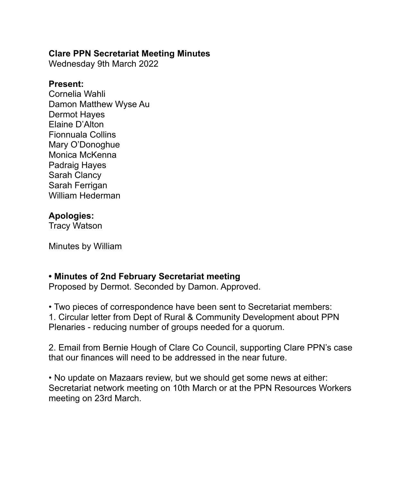#### **Clare PPN Secretariat Meeting Minutes**

Wednesday 9th March 2022

#### **Present:**

Cornelia Wahli Damon Matthew Wyse Au Dermot Hayes Elaine D'Alton Fionnuala Collins Mary O'Donoghue Monica McKenna Padraig Hayes Sarah Clancy Sarah Ferrigan William Hederman

## **Apologies:**

Tracy Watson

Minutes by William

# **• Minutes of 2nd February Secretariat meeting**

Proposed by Dermot. Seconded by Damon. Approved.

• Two pieces of correspondence have been sent to Secretariat members: 1. Circular letter from Dept of Rural & Community Development about PPN Plenaries - reducing number of groups needed for a quorum.

2. Email from Bernie Hough of Clare Co Council, supporting Clare PPN's case that our finances will need to be addressed in the near future.

• No update on Mazaars review, but we should get some news at either: Secretariat network meeting on 10th March or at the PPN Resources Workers meeting on 23rd March.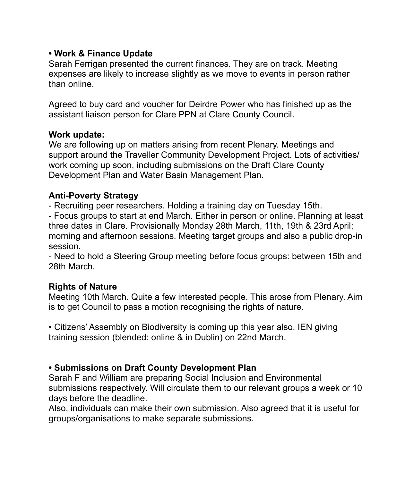## **• Work & Finance Update**

Sarah Ferrigan presented the current finances. They are on track. Meeting expenses are likely to increase slightly as we move to events in person rather than online.

Agreed to buy card and voucher for Deirdre Power who has finished up as the assistant liaison person for Clare PPN at Clare County Council.

#### **Work update:**

We are following up on matters arising from recent Plenary. Meetings and support around the Traveller Community Development Project. Lots of activities/ work coming up soon, including submissions on the Draft Clare County Development Plan and Water Basin Management Plan.

#### **Anti-Poverty Strategy**

- Recruiting peer researchers. Holding a training day on Tuesday 15th.

- Focus groups to start at end March. Either in person or online. Planning at least three dates in Clare. Provisionally Monday 28th March, 11th, 19th & 23rd April; morning and afternoon sessions. Meeting target groups and also a public drop-in session.

- Need to hold a Steering Group meeting before focus groups: between 15th and 28th March.

## **Rights of Nature**

Meeting 10th March. Quite a few interested people. This arose from Plenary. Aim is to get Council to pass a motion recognising the rights of nature.

• Citizens' Assembly on Biodiversity is coming up this year also. IEN giving training session (blended: online & in Dublin) on 22nd March.

## **• Submissions on Draft County Development Plan**

Sarah F and William are preparing Social Inclusion and Environmental submissions respectively. Will circulate them to our relevant groups a week or 10 days before the deadline.

Also, individuals can make their own submission. Also agreed that it is useful for groups/organisations to make separate submissions.